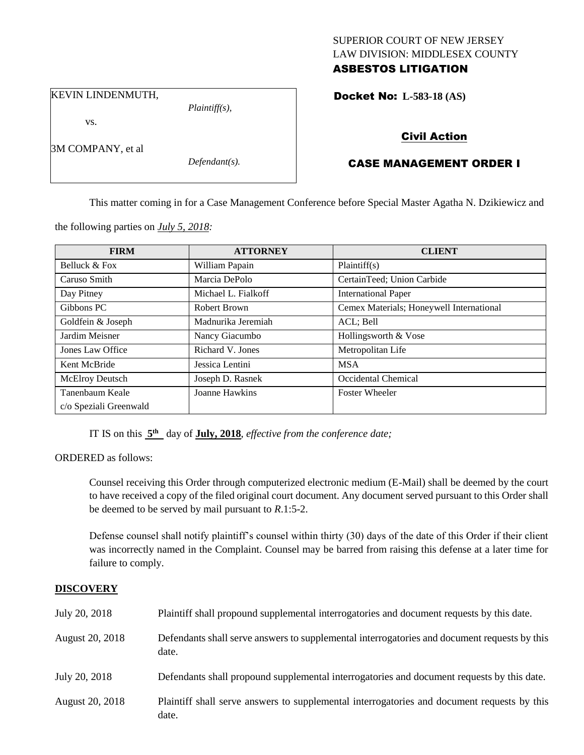## SUPERIOR COURT OF NEW JERSEY LAW DIVISION: MIDDLESEX COUNTY ASBESTOS LITIGATION

KEVIN LINDENMUTH,

vs.

3M COMPANY, et al

*Defendant(s).*

*Plaintiff(s),*

Docket No: **L-583-18 (AS)** 

# Civil Action

# CASE MANAGEMENT ORDER I

This matter coming in for a Case Management Conference before Special Master Agatha N. Dzikiewicz and

the following parties on *July 5, 2018:*

| <b>FIRM</b>            | <b>ATTORNEY</b>     | <b>CLIENT</b>                            |
|------------------------|---------------------|------------------------------------------|
| Belluck & Fox          | William Papain      | Plaintiff(s)                             |
| Caruso Smith           | Marcia DePolo       | CertainTeed; Union Carbide               |
| Day Pitney             | Michael L. Fialkoff | <b>International Paper</b>               |
| Gibbons PC             | Robert Brown        | Cemex Materials; Honeywell International |
| Goldfein & Joseph      | Madnurika Jeremiah  | ACL; Bell                                |
| Jardim Meisner         | Nancy Giacumbo      | Hollingsworth & Vose                     |
| Jones Law Office       | Richard V. Jones    | Metropolitan Life                        |
| Kent McBride           | Jessica Lentini     | <b>MSA</b>                               |
| McElroy Deutsch        | Joseph D. Rasnek    | Occidental Chemical                      |
| Tanenbaum Keale        | Joanne Hawkins      | <b>Foster Wheeler</b>                    |
| c/o Speziali Greenwald |                     |                                          |

IT IS on this  $5<sup>th</sup>$  day of **July, 2018**, *effective from the conference date*;

ORDERED as follows:

Counsel receiving this Order through computerized electronic medium (E-Mail) shall be deemed by the court to have received a copy of the filed original court document. Any document served pursuant to this Order shall be deemed to be served by mail pursuant to *R*.1:5-2.

Defense counsel shall notify plaintiff's counsel within thirty (30) days of the date of this Order if their client was incorrectly named in the Complaint. Counsel may be barred from raising this defense at a later time for failure to comply.

## **DISCOVERY**

| July 20, 2018   | Plaintiff shall propound supplemental interrogatories and document requests by this date.             |
|-----------------|-------------------------------------------------------------------------------------------------------|
| August 20, 2018 | Defendants shall serve answers to supplemental interrogatories and document requests by this<br>date. |
| July 20, 2018   | Defendants shall propound supplemental interrogatories and document requests by this date.            |
| August 20, 2018 | Plaintiff shall serve answers to supplemental interrogatories and document requests by this<br>date.  |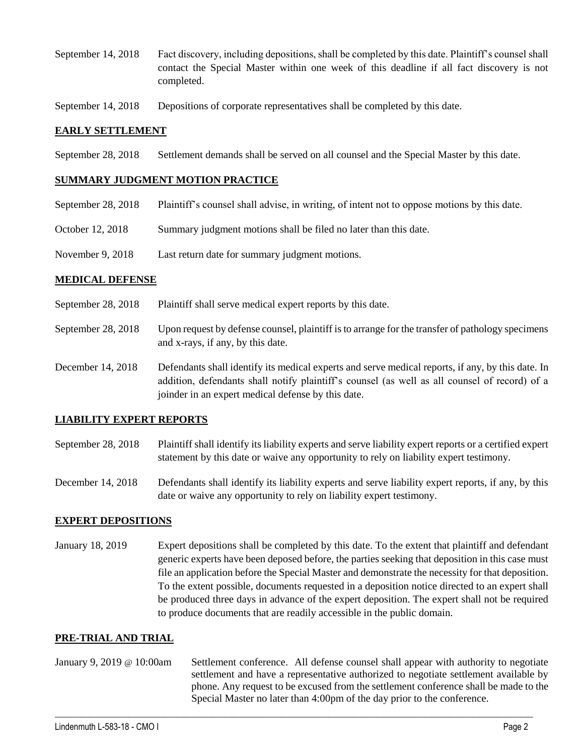- September 14, 2018 Fact discovery, including depositions, shall be completed by this date. Plaintiff's counsel shall contact the Special Master within one week of this deadline if all fact discovery is not completed.
- September 14, 2018 Depositions of corporate representatives shall be completed by this date.

### **EARLY SETTLEMENT**

September 28, 2018 Settlement demands shall be served on all counsel and the Special Master by this date.

### **SUMMARY JUDGMENT MOTION PRACTICE**

- September 28, 2018 Plaintiff's counsel shall advise, in writing, of intent not to oppose motions by this date.
- October 12, 2018 Summary judgment motions shall be filed no later than this date.
- November 9, 2018 Last return date for summary judgment motions.

#### **MEDICAL DEFENSE**

- September 28, 2018 Plaintiff shall serve medical expert reports by this date.
- September 28, 2018 Upon request by defense counsel, plaintiff is to arrange for the transfer of pathology specimens and x-rays, if any, by this date.
- December 14, 2018 Defendants shall identify its medical experts and serve medical reports, if any, by this date. In addition, defendants shall notify plaintiff's counsel (as well as all counsel of record) of a joinder in an expert medical defense by this date.

### **LIABILITY EXPERT REPORTS**

- September 28, 2018 Plaintiff shall identify its liability experts and serve liability expert reports or a certified expert statement by this date or waive any opportunity to rely on liability expert testimony.
- December 14, 2018 Defendants shall identify its liability experts and serve liability expert reports, if any, by this date or waive any opportunity to rely on liability expert testimony.

### **EXPERT DEPOSITIONS**

January 18, 2019 Expert depositions shall be completed by this date. To the extent that plaintiff and defendant generic experts have been deposed before, the parties seeking that deposition in this case must file an application before the Special Master and demonstrate the necessity for that deposition. To the extent possible, documents requested in a deposition notice directed to an expert shall be produced three days in advance of the expert deposition. The expert shall not be required to produce documents that are readily accessible in the public domain.

#### **PRE-TRIAL AND TRIAL**

January 9, 2019 @ 10:00am Settlement conference. All defense counsel shall appear with authority to negotiate settlement and have a representative authorized to negotiate settlement available by phone. Any request to be excused from the settlement conference shall be made to the Special Master no later than 4:00pm of the day prior to the conference.

 $\_$  ,  $\_$  ,  $\_$  ,  $\_$  ,  $\_$  ,  $\_$  ,  $\_$  ,  $\_$  ,  $\_$  ,  $\_$  ,  $\_$  ,  $\_$  ,  $\_$  ,  $\_$  ,  $\_$  ,  $\_$  ,  $\_$  ,  $\_$  ,  $\_$  ,  $\_$  ,  $\_$  ,  $\_$  ,  $\_$  ,  $\_$  ,  $\_$  ,  $\_$  ,  $\_$  ,  $\_$  ,  $\_$  ,  $\_$  ,  $\_$  ,  $\_$  ,  $\_$  ,  $\_$  ,  $\_$  ,  $\_$  ,  $\_$  ,